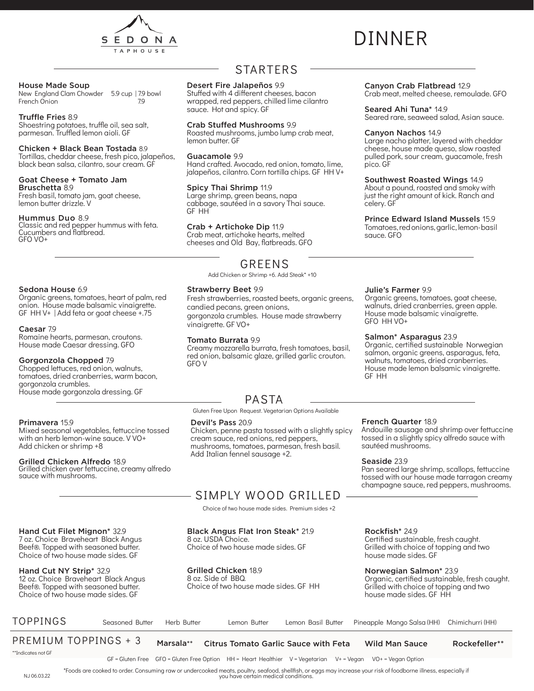

# DINNER

Canyon Crab Flatbread 12.9

Seared Ahi Tuna<sup>\*</sup> 149

Canyon Nachos 14.9

pico. GF

celery. GF

sauce. GFO

Crab meat, melted cheese, remoulade. GFO

Seared rare, seaweed salad, Asian sauce.

Large nacho platter, layered with cheddar cheese, house made queso, slow roasted pulled pork, sour cream, guacamole, fresh

Southwest Roasted Wings 14.9 About a pound, roasted and smoky with just the right amount of kick. Ranch and

Prince Edward Island Mussels 15.9 Tomatoes, red onions, garlic, lemon- basil

#### House Made Soup

New England Clam Chowder 5.9 cup | 7.9 bowl<br>French Onion French Onion

#### Truffle Fries 8.9

Shoestring potatoes, truffle oil, sea salt, parmesan. Truffled lemon aioli. GF

#### Chicken + Black Bean Tostada 8.9

Tortillas, cheddar cheese, fresh pico, jalapeños, black bean salsa, cilantro, sour cream. GF

#### Goat Cheese + Tomato Jam

Bruschetta 8.9 Fresh basil, tomato jam, goat cheese, lemon butter drizzle. V

#### Hummus Duo 8.9

Classic and red pepper hummus with feta. Cucumbers and flatbread. GFO VO+

## STARTERS

#### Desert Fire Jalapeños 9.9

Stuffed with 4 different cheeses, bacon wrapped, red peppers, chilled lime cilantro sauce. Hot and spicy. GF

#### Crab Stuffed Mushrooms 9.9

Roasted mushrooms, jumbo lump crab meat, lemon butter. GF

#### Guacamole 9.9

Hand crafted. Avocado, red onion, tomato, lime, jalapeños, cilantro. Corn tortilla chips. GF HH V+

#### Spicy Thai Shrimp 11.9

Large shrimp, green beans, napa cabbage, sautéed in a savory Thai sauce. GF HH

#### Crab + Artichoke Dip 11.9

Strawberry Beet 9.9

vinaigrette. GF VO+ Tomato Burrata 9.9

GFO V

candied pecans, green onions,

Crab meat, artichoke hearts, melted cheeses and Old Bay, flatbreads. GFO

## GREENS

Add Chicken or Shrimp +6. Add Steak\* +10

Fresh strawberries, roasted beets, organic greens,

gorgonzola crumbles. House made strawberry

Creamy mozzarella burrata, fresh tomatoes, basil, red onion, balsamic glaze, grilled garlic crouton.

#### Sedona House 6.9

Organic greens, tomatoes, heart of palm, red onion. House made balsamic vinaigrette. GF HH V+ | Add feta or goat cheese +.75

#### Caesar 7.9

Romaine hearts, parmesan, croutons. House made Caesar dressing. GFO

#### Gorgonzola Chopped 7.9

Chopped lettuces, red onion, walnuts, tomatoes, dried cranberries, warm bacon, gorgonzola crumbles. House made gorgonzola dressing. GF

#### Primavera 15.9

Mixed seasonal vegetables, fettuccine tossed with an herb lemon-wine sauce. V VO+ Add chicken or shrimp +8

#### Grilled Chicken Alfredo 18.9

Hand Cut Filet Mignon\* 32.9 7 oz. Choice Braveheart Black Angus Beef®. Topped with seasoned butter. Choice of two house made sides. GF

12 oz. Choice Braveheart Black Angus Beef®. Topped with seasoned butter. Choice of two house made sides. GF

Hand Cut NY Strip\* 32.9

Grilled chicken over fettuccine, creamy alfredo sauce with mushrooms.

## Gluten Free Upon Request. Vegetarian Options Available

PASTA

Devil's Pass 20.9 Chicken, penne pasta tossed with a slightly spicy cream sauce, red onions, red peppers, mushrooms, tomatoes, parmesan, fresh basil. Add Italian fennel sausage +2.

#### Julie's Farmer 9.9

Organic greens, tomatoes, goat cheese, walnuts, dried cranberries, green apple. House made balsamic vinaigrette. GFO HH VO+

#### Salmon\* Asparagus 23.9

Organic, certified sustainable Norwegian salmon, organic greens, asparagus, feta, walnuts, tomatoes, dried cranberries. House made lemon balsamic vinaigrette. GF HH

#### French Quarter 18.9

Andouille sausage and shrimp over fettuccine tossed in a slightly spicy alfredo sauce with sautéed mushrooms.

#### Seaside 23.9

Pan seared large shrimp, scallops, fettuccine tossed with our house made tarragon creamy champagne sauce, red peppers, mushrooms.

## SIMPLY WOOD GRILLED

Choice of two house made sides. Premium sides +2

#### Black Angus Flat Iron Steak\* 21.9

8 oz. USDA Choice. Choice of two house made sides. GF

#### Grilled Chicken 18.9

8 oz. Side of BBQ. Choice of two house made sides. GF HH

#### Rockfish\* 24.9

Certified sustainable, fresh caught. Grilled with choice of topping and two house made sides. GF

#### Norwegian Salmon\* 23.9

Organic, certified sustainable, fresh caught. Grilled with choice of topping and two house made sides. GF HH

Rockefeller\*\*

## TOPPINGS Seasoned Butter Herb Butter Lemon Butter Lemon Basil Butter Pineapple Mango Salsa (HH) Chimichurri (HH)

PREMIUM TOPPINGS + 3 Marsala\*\* Citrus Tomato Garlic Sauce with Feta Wild Man Sauce

\*\*Indicates not GF

GF = Gluten Free GFO = Gluten Free Option HH = Heart Healthier V = Vegetarian V+ = Vegan VO+ = Vegan Option

\*Foods are cooked to order. Consuming raw or undercooked meats, poultry, seafood, shellfish, or eggs may increase your risk of foodborne illness, especially if NJ 06.03.22 you have certain medical conditions.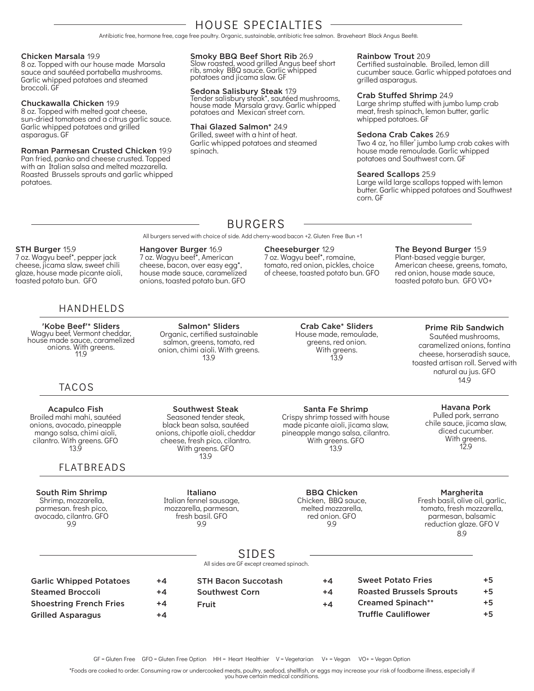## HOUSE SPECIALTIES

Antibiotic free, hormone free, cage free poultry. Organic, sustainable, antibiotic free salmon. Braveheart Black Angus Beef®.

#### Chicken Marsala 19.9

8 oz. Topped with our house made Marsala sauce and sautéed portabella mushrooms. Garlic whipped potatoes and steamed broccoli. GF

#### Chuckawalla Chicken 19.9

8 oz. Topped with melted goat cheese, sun-dried tomatoes and a citrus garlic sauce. Garlic whipped potatoes and grilled asparagus. GF

Roman Parmesan Crusted Chicken 19.9 Pan fried, panko and cheese crusted. Topped with an Italian salsa and melted mozzarella. Roasted Brussels sprouts and garlic whipped potatoes.

Smoky BBQ Beef Short Rib 26.9

Slow roasted, wood grilled Angus beef short rib, smoky BBQ sauce. Garlic whipped potatoes and jicama slaw. GF

#### Sedona Salisbury Steak 17.9

Tender salisbury steak\*, sautéed mushrooms, house made Marsala gravy. Garlic whipped potatoes and Mexican street corn.

#### Thai Glazed Salmon\* 24.9

Grilled, sweet with a hint of heat. Garlic whipped potatoes and steamed spinach.

#### Rainbow Trout 20.9

Certified sustainable. Broiled, lemon dill cucumber sauce. Garlic whipped potatoes and grilled asparagus.

#### Crab Stuffed Shrimp 24.9

Large shrimp stuffed with jumbo lump crab meat, fresh spinach, lemon butter, garlic whipped potatoes. GF

#### Sedona Crab Cakes 26.9

Two 4 oz, 'no filler' jumbo lump crab cakes with house made remoulade. Garlic whipped potatoes and Southwest corn. GF

#### Seared Scallops 25.9

Large wild large scallops topped with lemon butter. Garlic whipped potatoes and Southwest corn. GF

## BURGERS

All burgers served with choice of side. Add cherry-wood bacon +2. Gluten Free Bun +1

#### STH Burger 15.9

7 oz. Wagyu beef\*, pepper jack cheese, jicama slaw, sweet chili glaze, house made picante aioli, toasted potato bun. GFO

#### HANDHELDS

'Kobe Beef'\* Sliders Wagyu beef, Vermont cheddar, house made sauce, caramelized onions. With greens. 11.9

#### TACOS

Acapulco Fish Broiled mahi mahi, sautéed onions, avocado, pineapple mango salsa, chimi aioli, cilantro. With greens. GFO 13.9

#### FLATBREADS

South Rim Shrimp Shrimp, mozzarella, parmesan. fresh pico, avocado, cilantro. GFO 9.9

Seasoned tender steak, black bean salsa, sautéed onions, chipotle aioli, cheddar cheese, fresh pico, cilantro. With greens. GFO 13.9

Italiano

fresh basil. GFO 9.9

Southwest Steak

Salmon\* Sliders Organic, certified sustainable salmon, greens, tomato, red onion, chimi aioli. With greens. 13.9

Hangover Burger 16.9 7 oz. Wagyu beef\*, American cheese, bacon, over easy egg\*, house made sauce, caramelized onions, toasted potato bun. GFO

#### Cheeseburger 12.9

7 oz. Wagyu beef\*, romaine, tomato, red onion, pickles, choice of cheese, toasted potato bun. GFO The Beyond Burger 15.9

Plant-based veggie burger, American cheese, greens, tomato, red onion, house made sauce, toasted potato bun. GFO VO+

#### Crab Cake\* Sliders House made, remoulade, greens, red onion. With greens. 13.9

#### Prime Rib Sandwich

Sautéed mushrooms, caramelized onions, fontina cheese, horseradish sauce, toasted artisan roll. Served with natural au jus. GFO 14.9

### Havana Pork

Pulled pork, serrano chile sauce, jicama slaw, diced cucumber. With greens. 12.9

## Santa Fe Shrimp

made picante aioli, jicama slaw, pineapple mango salsa, cilantro. With greens. GFO 13.9

#### Margherita

Fresh basil, olive oil, garlic, tomato, fresh mozzarella, parmesan, balsamic reduction glaze. GFO V 8.9

## SIDES

All sides are GF except creamed spinach.

| <b>Garlic Whipped Potatoes</b> | $+4$ | <b>STH Bacon Succotash</b> | $+4$ | <b>Sweet Potato Fries</b>       | $+5$ |
|--------------------------------|------|----------------------------|------|---------------------------------|------|
| <b>Steamed Broccoli</b>        | $+4$ | Southwest Corn             | $+4$ | <b>Roasted Brussels Sprouts</b> | $+5$ |
| <b>Shoestring French Fries</b> | $+4$ | Fruit                      | $+4$ | <b>Creamed Spinach**</b>        | +5   |
| <b>Grilled Asparagus</b>       | +4   |                            |      | <b>Truffle Cauliflower</b>      | $+5$ |

\*Foods are cooked to order. Consuming raw or undercooked meats, poultry, seafood, shellfish, or eggs may increase your risk of foodborne illness, especially if you have certain medical conditions.

Crispy shrimp tossed with house

Italian fennel sausage, mozzarella, parmesan,

BBQ Chicken Chicken, BBQ sauce, melted mozzarella, red onion. GFO 9.9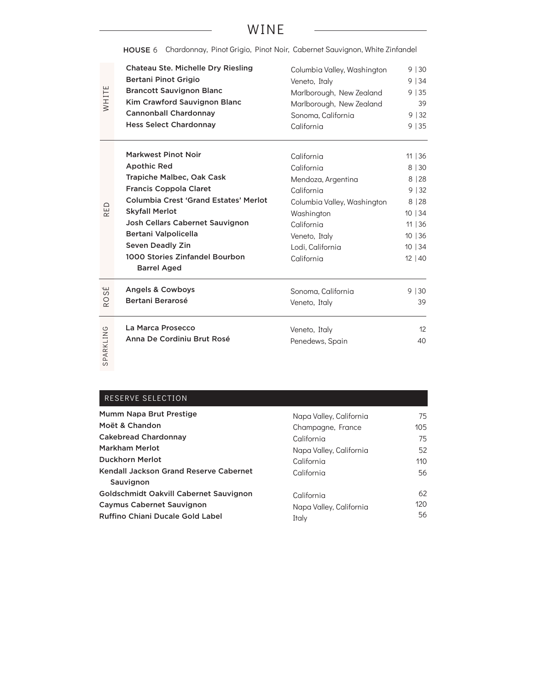## WINE

|                      | HOUSE 6 Chardonnay, Pinot Grigio, Pinot Noir, Cabernet Sauvignon, White Zinfandel |                             |         |
|----------------------|-----------------------------------------------------------------------------------|-----------------------------|---------|
|                      | Chateau Ste. Michelle Dry Riesling                                                | Columbia Valley, Washington | 9 30    |
|                      | <b>Bertani Pinot Grigio</b>                                                       | Veneto, Italy               | 9 34    |
|                      | <b>Brancott Sauvignon Blanc</b>                                                   | Marlborough, New Zealand    | 9 35    |
| WHITE                | Kim Crawford Sauvignon Blanc                                                      | Marlborough, New Zealand    | 39      |
|                      | <b>Cannonball Chardonnay</b>                                                      | Sonoma, California          | 9 32    |
|                      | <b>Hess Select Chardonnay</b>                                                     | California                  | 9   35  |
|                      | <b>Markwest Pinot Noir</b>                                                        | California                  | 11   36 |
|                      | <b>Apothic Red</b>                                                                | California                  | 8 30    |
|                      | Trapiche Malbec, Oak Cask                                                         | Mendoza, Argentina          | 8 28    |
|                      | <b>Francis Coppola Claret</b>                                                     | California                  | 9 32    |
|                      | Columbia Crest 'Grand Estates' Merlot                                             | Columbia Valley, Washington | 8 28    |
| RED                  | <b>Skyfall Merlot</b>                                                             | Washington                  | 10   34 |
|                      | Josh Cellars Cabernet Sauvignon                                                   | California                  | 11   36 |
|                      | Bertani Valpolicella                                                              | Veneto, Italy               | 10 36   |
|                      | <b>Seven Deadly Zin</b>                                                           | Lodi, California            | 10   34 |
|                      | 1000 Stories Zinfandel Bourbon                                                    | California                  | 12 40   |
|                      | <b>Barrel Aged</b>                                                                |                             |         |
| سا<br>S              | <b>Angels &amp; Cowboys</b>                                                       | Sonoma, California          | 9 30    |
| $\circ$<br>$\propto$ | <b>Bertani Berarosé</b>                                                           | Veneto, Italy               | 39      |
|                      | La Marca Prosecco                                                                 | Veneto, Italy               | 12      |
|                      | Anna De Cordiniu Brut Rosé                                                        | Penedews, Spain             | 40      |
| SPARKLING            |                                                                                   |                             |         |

### RESERVE SELECTION

| Mumm Napa Brut Prestige                | Napa Valley, California | 75               |
|----------------------------------------|-------------------------|------------------|
| Moët & Chandon                         | Champagne, France       | 105              |
| <b>Cakebread Chardonnay</b>            | California              | 75               |
| <b>Markham Merlot</b>                  | Napa Valley, California | 52               |
| <b>Duckhorn Merlot</b>                 | California              | 110              |
| Kendall Jackson Grand Reserve Cabernet | California              | 56               |
| Sauvignon                              |                         |                  |
| Goldschmidt Oakvill Cabernet Sauvignon | California              | 62               |
| <b>Caymus Cabernet Sauvignon</b>       | Napa Valley, California | 120 <sub>1</sub> |
| Ruffino Chiani Ducale Gold Label       | Italy                   | 56               |